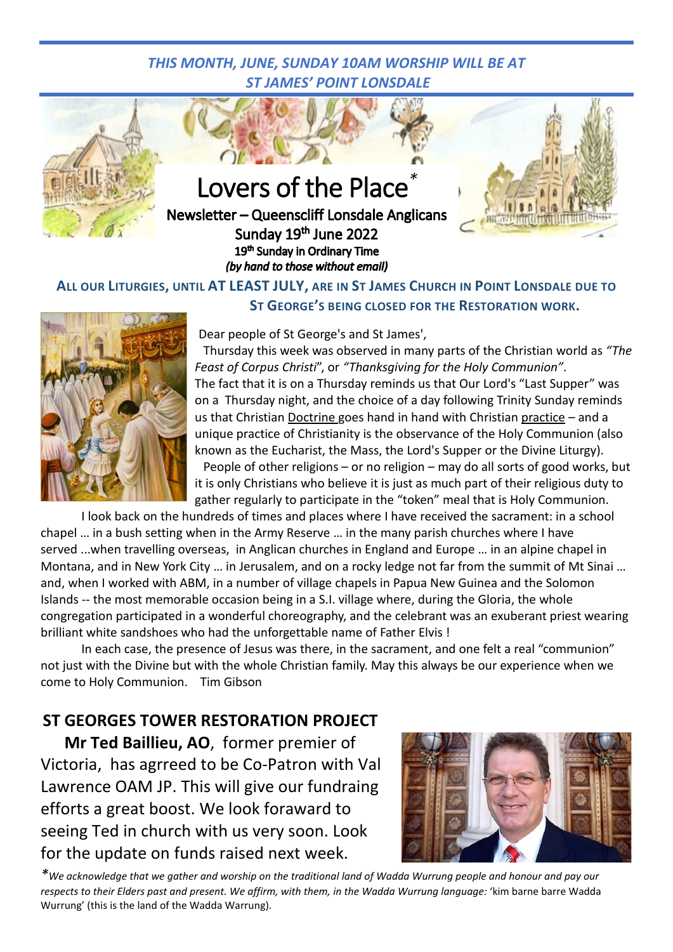## *THIS MONTH, JUNE, SUNDAY 10AM WORSHIP WILL BE AT ST JAMES' POINT LONSDALE*



**Lovers of the Place** 

Newsletter - Queenscliff Lonsdale Anglicans Sunday 19th June 2022 19th Sunday in Ordinary Time (by hand to those without email)



## **ALL OUR LITURGIES, UNTIL AT LEAST JULY, ARE IN ST JAMES CHURCH IN POINT LONSDALE DUE TO ST GEORGE'S BEING CLOSED FOR THE RESTORATION WORK.**



Dear people of St George's and St James',

Thursday this week was observed in many parts of the Christian world as *"The Feast of Corpus Christi*", or *"Thanksgiving for the Holy Communion"*. The fact that it is on a Thursday reminds us that Our Lord's "Last Supper" was on a Thursday night, and the choice of a day following Trinity Sunday reminds us that Christian Doctrine goes hand in hand with Christian practice – and a unique practice of Christianity is the observance of the Holy Communion (also known as the Eucharist, the Mass, the Lord's Supper or the Divine Liturgy).

People of other religions – or no religion – may do all sorts of good works, but it is only Christians who believe it is just as much part of their religious duty to gather regularly to participate in the "token" meal that is Holy Communion.

I look back on the hundreds of times and places where I have received the sacrament: in a school chapel … in a bush setting when in the Army Reserve … in the many parish churches where I have served ...when travelling overseas, in Anglican churches in England and Europe … in an alpine chapel in Montana, and in New York City … in Jerusalem, and on a rocky ledge not far from the summit of Mt Sinai … and, when I worked with ABM, in a number of village chapels in Papua New Guinea and the Solomon Islands -- the most memorable occasion being in a S.I. village where, during the Gloria, the whole congregation participated in a wonderful choreography, and the celebrant was an exuberant priest wearing brilliant white sandshoes who had the unforgettable name of Father Elvis !

In each case, the presence of Jesus was there, in the sacrament, and one felt a real "communion" not just with the Divine but with the whole Christian family. May this always be our experience when we come to Holy Communion. Tim Gibson

## **ST GEORGES TOWER RESTORATION PROJECT**

**Mr Ted Baillieu, AO**, former premier of Victoria, has agrreed to be Co-Patron with Val Lawrence OAM JP. This will give our fundraing efforts a great boost. We look foraward to seeing Ted in church with us very soon. Look for the update on funds raised next week.



*\*We acknowledge that we gather and worship on the traditional land of Wadda Wurrung people and honour and pay our respects to their Elders past and present. We affirm, with them, in the Wadda Wurrung language:* 'kim barne barre Wadda Wurrung' (this is the land of the Wadda Warrung).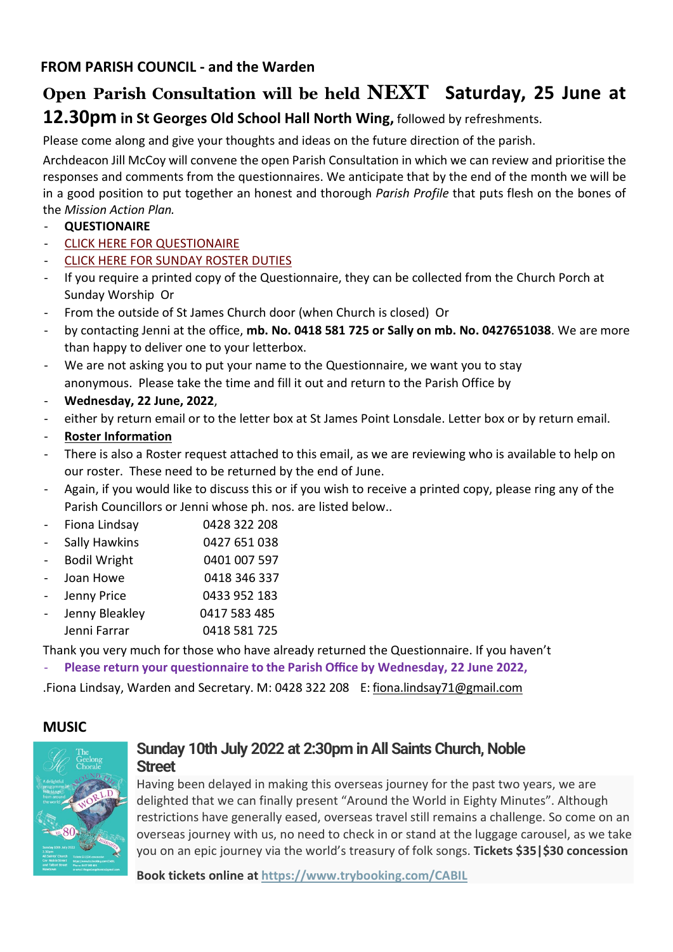# **Open Parish Consultation will be held NEXT Saturday, 25 June at 12.30pm in St Georges Old School Hall North Wing,** followed by refreshments.

Please come along and give your thoughts and ideas on the future direction of the parish.

Archdeacon Jill McCoy will convene the open Parish Consultation in which we can review and prioritise the responses and comments from the questionnaires. We anticipate that by the end of the month we will be in a good position to put together an honest and thorough *Parish Profile* that puts flesh on the bones of the *Mission Action Plan.*

- **QUESTIONAIRE**
- [CLICK HERE FOR QUESTIONAIRE](https://www.queensclifflonsdaleanglican.org/wp/wp-content/uploads/2022/06/QUESTIONNAIRE-002.pdf)
- **[CLICK HERE FOR SUNDAY ROSTER DUTIES](https://www.queensclifflonsdaleanglican.org/wp/wp-content/uploads/2022/06/Sunday-Liturgy-Roster-Information.pdf)**
- If you require a printed copy of the Questionnaire, they can be collected from the Church Porch at Sunday Worship Or
- From the outside of St James Church door (when Church is closed) Or
- by contacting Jenni at the office, **mb. No. 0418 581 725 or Sally on mb. No. 0427651038**. We are more than happy to deliver one to your letterbox.
- We are not asking you to put your name to the Questionnaire, we want you to stay anonymous. Please take the time and fill it out and return to the Parish Office by
- **Wednesday, 22 June, 2022**,
- either by return email or to the letter box at St James Point Lonsdale. Letter box or by return email.
- **Roster Information**
- There is also a Roster request attached to this email, as we are reviewing who is available to help on our roster. These need to be returned by the end of June.
- Again, if you would like to discuss this or if you wish to receive a printed copy, please ring any of the Parish Councillors or Jenni whose ph. nos. are listed below..
- Fiona Lindsay 0428 322 208
- Sally Hawkins 0427 651 038
- Bodil Wright 0401 007 597
- Joan Howe 0418 346 337
- Jenny Price 0433 952 183 Jenny Bleakley 0417 583 485
- Jenni Farrar 0418 581 725

Thank you very much for those who have already returned the Questionnaire. If you haven't

- **Please return your questionnaire to the Parish Office by Wednesday, 22 June 2022,**

.Fiona Lindsay, Warden and Secretary. M: 0428 322 208 E: [fi](mailto:fiona.lindsay71@gmail.com)[ona.lindsay71@gmail.com](mailto:ona.lindsay71@gmail.com)

## **MUSIC**



## **Sunday 10th July 2022 at 2:30pm in All Saints Church, Noble Street**

Having been delayed in making this overseas journey for the past two years, we are delighted that we can finally present "Around the World in Eighty Minutes". Although restrictions have generally eased, overseas travel still remains a challenge. So come on an overseas journey with us, no need to check in or stand at the luggage carousel, as we take you on an epic journey via the world's treasury of folk songs. **Tickets \$35|\$30 concession**

**Book tickets online at <https://www.trybooking.com/CABIL>**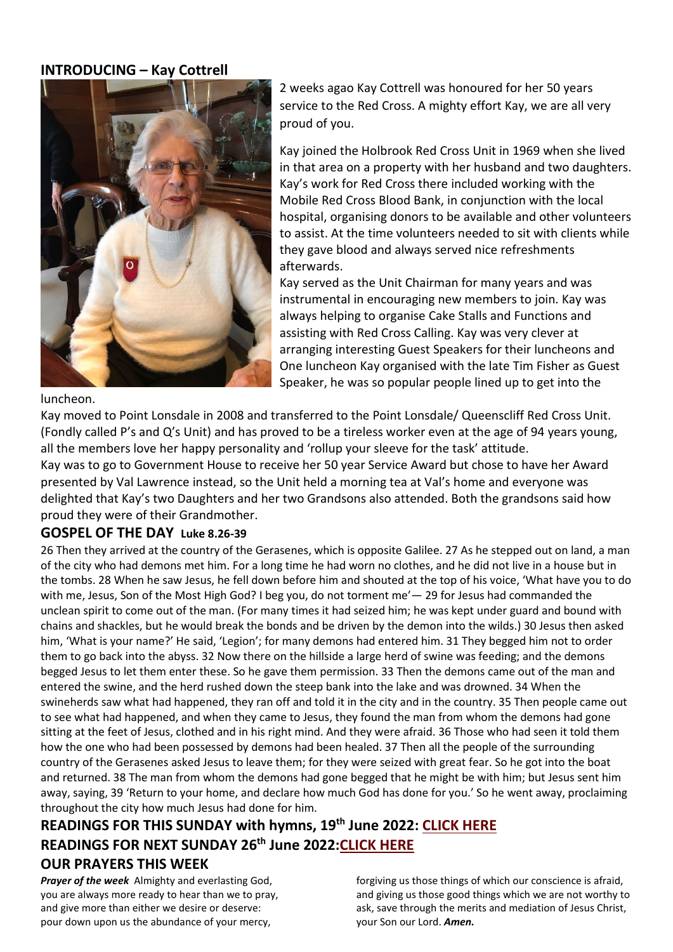## **INTRODUCING – Kay Cottrell**



2 weeks agao Kay Cottrell was honoured for her 50 years service to the Red Cross. A mighty effort Kay, we are all very proud of you.

Kay joined the Holbrook Red Cross Unit in 1969 when she lived in that area on a property with her husband and two daughters. Kay's work for Red Cross there included working with the Mobile Red Cross Blood Bank, in conjunction with the local hospital, organising donors to be available and other volunteers to assist. At the time volunteers needed to sit with clients while they gave blood and always served nice refreshments afterwards.

Kay served as the Unit Chairman for many years and was instrumental in encouraging new members to join. Kay was always helping to organise Cake Stalls and Functions and assisting with Red Cross Calling. Kay was very clever at arranging interesting Guest Speakers for their luncheons and One luncheon Kay organised with the late Tim Fisher as Guest Speaker, he was so popular people lined up to get into the

luncheon.

Kay moved to Point Lonsdale in 2008 and transferred to the Point Lonsdale/ Queenscliff Red Cross Unit. (Fondly called P's and Q's Unit) and has proved to be a tireless worker even at the age of 94 years young, all the members love her happy personality and 'rollup your sleeve for the task' attitude.

Kay was to go to Government House to receive her 50 year Service Award but chose to have her Award presented by Val Lawrence instead, so the Unit held a morning tea at Val's home and everyone was delighted that Kay's two Daughters and her two Grandsons also attended. Both the grandsons said how proud they were of their Grandmother.

## **GOSPEL OF THE DAY Luke 8.26-39**

26 Then they arrived at the country of the Gerasenes, which is opposite Galilee. 27 As he stepped out on land, a man of the city who had demons met him. For a long time he had worn no clothes, and he did not live in a house but in the tombs. 28 When he saw Jesus, he fell down before him and shouted at the top of his voice, 'What have you to do with me, Jesus, Son of the Most High God? I beg you, do not torment me'— 29 for Jesus had commanded the unclean spirit to come out of the man. (For many times it had seized him; he was kept under guard and bound with chains and shackles, but he would break the bonds and be driven by the demon into the wilds.) 30 Jesus then asked him, 'What is your name?' He said, 'Legion'; for many demons had entered him. 31 They begged him not to order them to go back into the abyss. 32 Now there on the hillside a large herd of swine was feeding; and the demons begged Jesus to let them enter these. So he gave them permission. 33 Then the demons came out of the man and entered the swine, and the herd rushed down the steep bank into the lake and was drowned. 34 When the swineherds saw what had happened, they ran off and told it in the city and in the country. 35 Then people came out to see what had happened, and when they came to Jesus, they found the man from whom the demons had gone sitting at the feet of Jesus, clothed and in his right mind. And they were afraid. 36 Those who had seen it told them how the one who had been possessed by demons had been healed. 37 Then all the people of the surrounding country of the Gerasenes asked Jesus to leave them; for they were seized with great fear. So he got into the boat and returned. 38 The man from whom the demons had gone begged that he might be with him; but Jesus sent him away, saying, 39 'Return to your home, and declare how much God has done for you.' So he went away, proclaiming throughout the city how much Jesus had done for him.

## **READINGS FOR THIS SUNDAY with hymns, 19th June 2022: [CLICK HERE](https://www.queensclifflonsdaleanglican.org/wp/wp-content/uploads/2022/06/Sunday-19th-June-2022-Ord-12-2.pdf) READINGS FOR NEXT SUNDAY 26th June 2022[:CLICK HERE](https://www.queensclifflonsdaleanglican.org/wp/wp-content/uploads/2022/06/Sunday-26th-June-2022-13th-Sunday-in-Ordinary-time.pdf) OUR PRAYERS THIS WEEK**

*Prayer of the week* Almighty and everlasting God, you are always more ready to hear than we to pray, and give more than either we desire or deserve: pour down upon us the abundance of your mercy,

forgiving us those things of which our conscience is afraid, and giving us those good things which we are not worthy to ask, save through the merits and mediation of Jesus Christ, your Son our Lord. *Amen.*